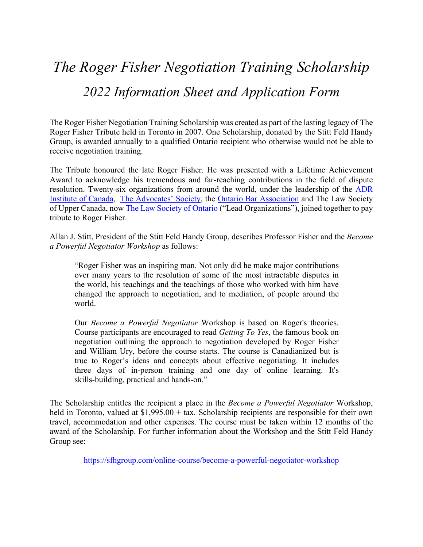# *The Roger Fisher Negotiation Training Scholarship 2022 Information Sheet and Application Form*

The Roger Fisher Negotiation Training Scholarship was created as part of the lasting legacy of The Roger Fisher Tribute held in Toronto in 2007. One Scholarship, donated by the Stitt Feld Handy Group, is awarded annually to a qualified Ontario recipient who otherwise would not be able to receive negotiation training.

The Tribute honoured the late Roger Fisher. He was presented with a Lifetime Achievement Award to acknowledge his tremendous and far-reaching contributions in the field of dispute resolution. [Twenty-six organizations from around the world, under the leadership of the ADR](https://adr-ontario.ca/)  Institute of Canada, [The Advocates' Society,](https://www.advocates.ca/TAS/) the [Ontario Bar Association](https://www.oba.org/Home) and The Law Society of Upper Canada, now [The Law Society of Ontario](https://www.lso.ca/) ("Lead Organizations"), joined together to pay tribute to Roger Fisher.

Allan J. Stitt, President of the Stitt Feld Handy Group, describes Professor Fisher and the *Become a Powerful Negotiator Workshop* as follows:

"Roger Fisher was an inspiring man. Not only did he make major contributions over many years to the resolution of some of the most intractable disputes in the world, his teachings and the teachings of those who worked with him have changed the approach to negotiation, and to mediation, of people around the world.

Our *Become a Powerful Negotiator* Workshop is based on Roger's theories. Course participants are encouraged to read *Getting To Yes*, the famous book on negotiation outlining the approach to negotiation developed by Roger Fisher and William Ury, before the course starts. The course is Canadianized but is true to Roger's ideas and concepts about effective negotiating. It includes three days of in-person training and one day of online learning. It's skills-building, practical and hands-on."

The Scholarship entitles the recipient a place in the *Become a Powerful Negotiator* Workshop, held in Toronto, valued at \$1,995.00 + tax. Scholarship recipients are responsible for their own travel, accommodation and other expenses. The course must be taken within 12 months of the award of the Scholarship. For further information about the Workshop and the Stitt Feld Handy Group see:

<https://sfhgroup.com/online-course/become-a-powerful-negotiator-workshop>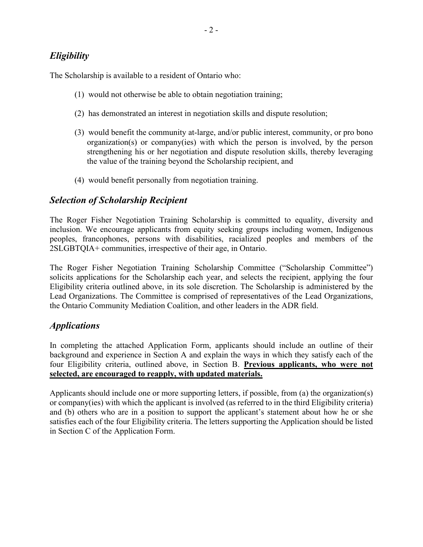# *Eligibility*

The Scholarship is available to a resident of Ontario who:

- (1) would not otherwise be able to obtain negotiation training;
- (2) has demonstrated an interest in negotiation skills and dispute resolution;
- (3) would benefit the community at-large, and/or public interest, community, or pro bono organization(s) or company(ies) with which the person is involved, by the person strengthening his or her negotiation and dispute resolution skills, thereby leveraging the value of the training beyond the Scholarship recipient, and
- (4) would benefit personally from negotiation training.

# *Selection of Scholarship Recipient*

The Roger Fisher Negotiation Training Scholarship is committed to equality, diversity and inclusion. We encourage applicants from equity seeking groups including women, Indigenous peoples, francophones, persons with disabilities, racialized peoples and members of the 2SLGBTQIA+ communities, irrespective of their age, in Ontario.

The Roger Fisher Negotiation Training Scholarship Committee ("Scholarship Committee") solicits applications for the Scholarship each year, and selects the recipient, applying the four Eligibility criteria outlined above, in its sole discretion. The Scholarship is administered by the Lead Organizations. The Committee is comprised of representatives of the Lead Organizations, the Ontario Community Mediation Coalition, and other leaders in the ADR field.

### *Applications*

In completing the attached Application Form, applicants should include an outline of their background and experience in Section A and explain the ways in which they satisfy each of the four Eligibility criteria, outlined above, in Section B. **Previous applicants, who were not selected, are encouraged to reapply, with updated materials.**

Applicants should include one or more supporting letters, if possible, from (a) the organization(s) or company(ies) with which the applicant is involved (as referred to in the third Eligibility criteria) and (b) others who are in a position to support the applicant's statement about how he or she satisfies each of the four Eligibility criteria. The letters supporting the Application should be listed in Section C of the Application Form.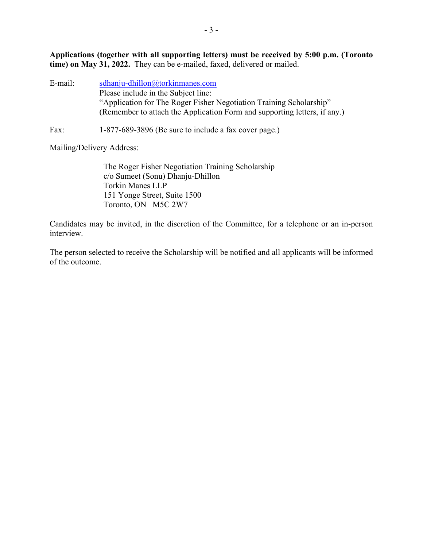**Applications (together with all supporting letters) must be received by 5:00 p.m. (Toronto time) on May 31, 2022.** They can be e-mailed, faxed, delivered or mailed.

E-mail: [sdhanju-dhillon@torkinmanes.com](mailto:sdhanju-dhillon@torkinmanes.com) Please include in the Subject line: "Application for The Roger Fisher Negotiation Training Scholarship" (Remember to attach the Application Form and supporting letters, if any.)

Fax: 1-877-689-3896 (Be sure to include a fax cover page.)

Mailing/Delivery Address:

 The Roger Fisher Negotiation Training Scholarship c/o Sumeet (Sonu) Dhanju-Dhillon Torkin Manes LLP 151 Yonge Street, Suite 1500 Toronto, ON M5C 2W7

Candidates may be invited, in the discretion of the Committee, for a telephone or an in-person interview.

The person selected to receive the Scholarship will be notified and all applicants will be informed of the outcome.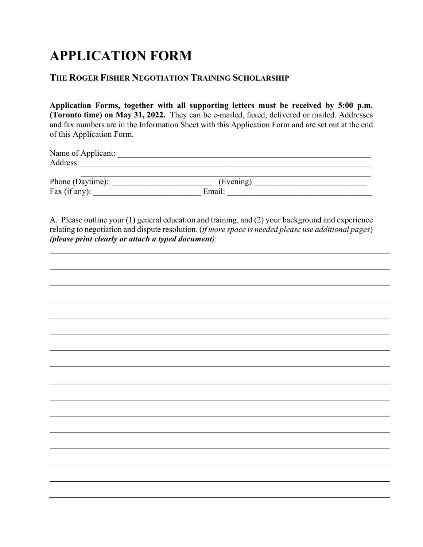# **APPLICATION FORM**

## **THE ROGER FISHER NEGOTIATION TRAINING SCHOLARSHIP**

**Application Forms, together with all supporting letters must be received by 5:00 p.m. (Toronto time) on May 31, 2022.** They can be e-mailed, faxed, delivered or mailed. Addresses and fax numbers are in the Information Sheet with this Application Form and are set out at the end of this Application Form.

| Name of Applicant:                                 |         |  |  |
|----------------------------------------------------|---------|--|--|
| Address:                                           |         |  |  |
|                                                    |         |  |  |
| $\mathbf{D}$ le and $(\mathbf{D}$ and $\mathbf{D}$ | $(T-1)$ |  |  |

Phone (Daytime): \_\_\_\_\_\_\_\_\_\_\_\_\_\_\_\_\_\_\_\_\_\_\_\_ (Evening) \_\_\_\_\_\_\_\_\_\_\_\_\_\_\_\_\_\_\_\_\_\_\_\_\_\_\_ Fax (if any):  $\qquad \qquad$  Email:

A. Please outline your (1) general education and training, and (2) your background and experience relating to negotiation and dispute resolution. (*if more space is needed please use additional pages*) *(please print clearly or attach a typed document)*: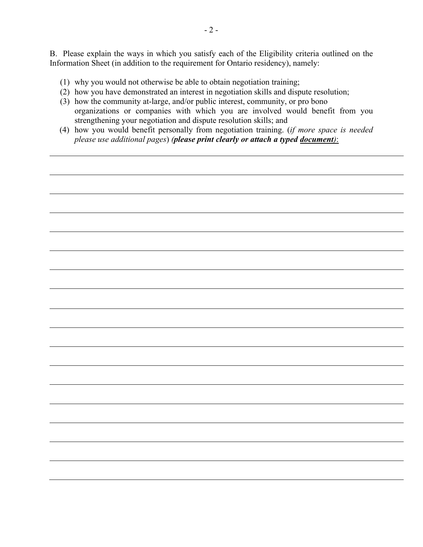B. Please explain the ways in which you satisfy each of the Eligibility criteria outlined on the Information Sheet (in addition to the requirement for Ontario residency), namely:

- (1) why you would not otherwise be able to obtain negotiation training;
- (2) how you have demonstrated an interest in negotiation skills and dispute resolution;
- (3) how the community at-large, and/or public interest, community, or pro bono organizations or companies with which you are involved would benefit from you strengthening your negotiation and dispute resolution skills; and
- (4) how you would benefit personally from negotiation training. (*if more space is needed please use additional pages*) *(please print clearly or attach a typed document)*: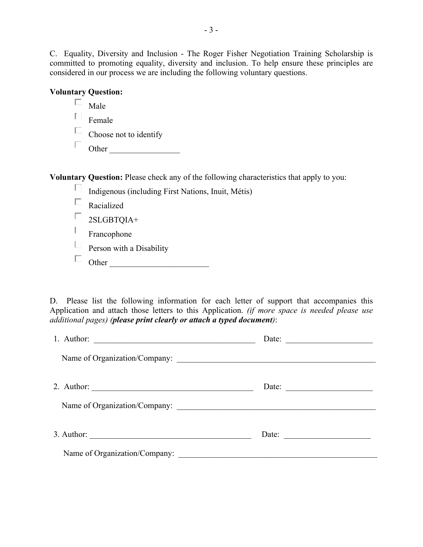C. Equality, Diversity and Inclusion - The Roger Fisher Negotiation Training Scholarship is committed to promoting equality, diversity and inclusion. To help ensure these principles are considered in our process we are including the following voluntary questions.

### **Voluntary Question:**

 $\Box$  Male  $\left[\begin{array}{c} 1 \\ 1 \end{array}\right]$ Female  $\Box$  Choose not to identify  $\overline{\phantom{a}}$ Other \_\_\_\_\_\_\_\_\_\_\_\_\_\_\_\_\_

**Voluntary Question:** Please check any of the following characteristics that apply to you:

- Indigenous (including First Nations, Inuit, Métis)
- $\Box$  Racialized
- $\hfill$  2SLGBTQIA+
- Francophone
- $\Box$  Person with a Disability
- Other \_\_\_\_\_\_\_\_\_\_\_\_\_\_\_\_\_\_\_\_\_\_\_\_

D. Please list the following information for each letter of support that accompanies this Application and attach those letters to this Application. *(if more space is needed please use additional pages) (please print clearly or attach a typed document)*:

| 1. Author:<br><u> 1989 - Johann Stoff, deutscher Stoffen und der Stoffen und der Stoffen und der Stoffen und der Stoffen und der Stoffen und der Stoffen und der Stoffen und der Stoffen und der Stoffen und der Stoffen und der Stoffen und d</u> | Date: $\qquad \qquad$         |
|----------------------------------------------------------------------------------------------------------------------------------------------------------------------------------------------------------------------------------------------------|-------------------------------|
|                                                                                                                                                                                                                                                    |                               |
|                                                                                                                                                                                                                                                    |                               |
|                                                                                                                                                                                                                                                    | Name of Organization/Company: |
|                                                                                                                                                                                                                                                    | Date:                         |
|                                                                                                                                                                                                                                                    |                               |